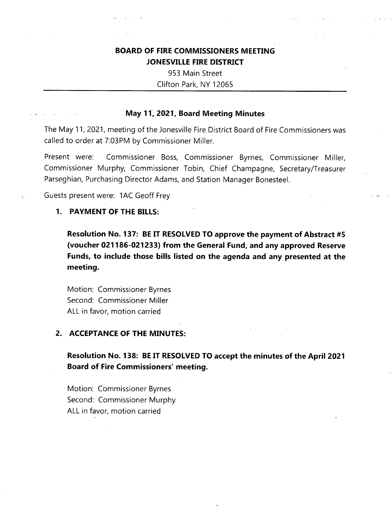# **BOARD OF FIRE COMMISSIONERS MEETING JONESVILLE FIRE DISTRICT**

953 Main Street Clifton Park, NY 12065

### **May 11, 2021, Board Meeting Minutes**

The May 11, 2021, meeting of the Jonesville Fire District Board of Fire Commissioners was called to order at 7:03PM by Commissioner Miller.

Commissioner Boss, Commissioner Byrnes, Commissioner Miller, Commissioner Murphy, Commissioner Tobin, Chief Champagne, Secretary/Treasurer Parseghian, Purchasing Director Adams, and Station Manager Bonesteel. Present were:

Guests present were: 1AC Geoff Frey

### **1. PAYMENT OF THE BILLS:**

**Resolution No. 137: BE IT RESOLVED TO approve the payment of Abstract #5 (voucher 021186-021233) from the General Fund, and any approved Reserve Funds, to include those bills listed on the agenda and any presented at the meeting.**

Motion: Commissioner Byrnes Second: Commissioner Miller ALL in favor, motion carried

### **2. ACCEPTANCE OF THE MINUTES:**

**Resolution No. 138: BE IT RESOLVED TO accept the minutes of the April 2021 Board of Fire Commissioners' meeting.**

Motion: Commissioner Byrnes Second: Commissioner Murphy ALL in favor, motion carried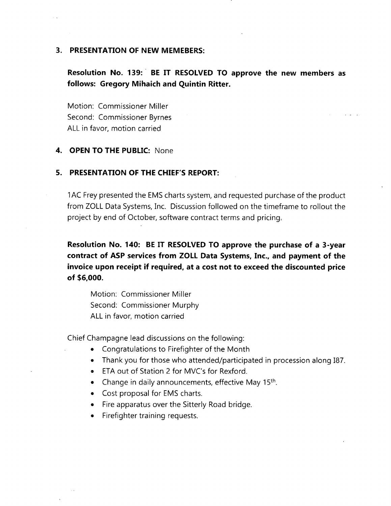#### **3. PRESENTATION OF NEW MEMEBERS:**

## **Resolution No. 139: BE IT RESOLVED TO approve the new members as follows: Gregory Mihaich and Quintin Ritter.**

Motion: Commissioner Miller Second: Commissioner Byrnes ALL in favor, motion carried

#### **4. OPEN TO THE PUBLIC:** None

#### **5. PRESENTATION OF THE CHIEF'S REPORT:**

1AC Frey presented the EMS charts system, and requested purchase of the product from ZOLL Data Systems, Inc. Discussion followed on the timeframe to rollout the project by end of October, software contract terms and pricing,

**Resolution No. 140: BE IT RESOLVED TO approve the purchase of a 3-year contract of ASP services from ZOLL Data Systems, Inc., and payment of the invoice upon receipt if required, at a cost not to exceed the discounted price of \$6,000.**

Motion: Commissioner Miller Second: Commissioner Murphy ALL in favor, motion carried

Chief Champagne lead discussions on the following:

- Congratulations to Firefighter of the Month
- Thank you for those who attended/participated in procession along 187.
- ETA out of Station 2 for MVC's for Rexford.
- Change in daily announcements, effective May 15<sup>th</sup>.
- Cost proposal for EMS charts.
- Fire apparatus over the Sitterly Road bridge.
- Firefighter training requests.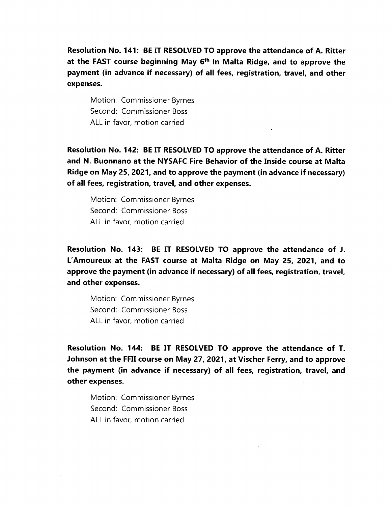**Resolution No. 141: BE IT RESOLVED TO approve the attendance of A. Ritter at the FAST course beginning May 6th in Malta Ridge, and to approve the payment (in advance if necessary) of all fees, registration, travel, and other expenses.**

Motion: Commissioner Byrnes Second: Commissioner Boss ALL in favor, motion carried

**Resolution No. 142: BE IT RESOLVED TO approve the attendance of A. Ritter and N. Buonnano at the NYSAFC Fire Behavior of the Inside course at Malta Ridge on May 25, 2021, and to approve the payment (in advance if necessary) of all fees, registration, travel, and other expenses.**

Motion: Commissioner Byrnes Second: Commissioner Boss ALL in favor, motion carried

**Resolution No. 143: BE IT RESOLVED TO approve the attendance of J. L'Amoureux at the FAST course at Malta Ridge on May 25, 2021, and to approve the payment (in advance if necessary) of all fees, registration, travel, and other expenses.**

Motion: Commissioner Byrnes Second: Commissioner Boss ALL in favor, motion carried

**Resolution No. 144: BE IT RESOLVED TO approve the attendance of T. Johnson at the FFII course on May 27, 2021, at Vischer Ferry, and to approve the payment (in advance if necessary) of all fees, registration, travel, and other expenses.**

Motion: Commissioner Byrnes Second: Commissioner Boss ALL in favor, motion carried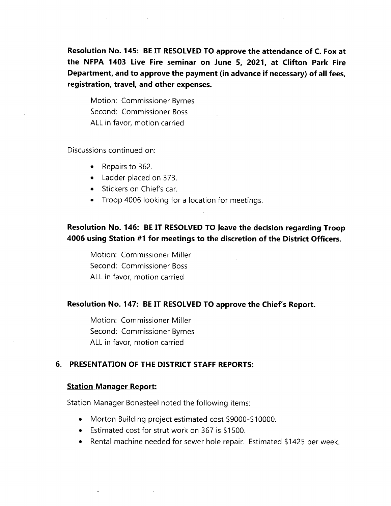**Resolution No. 145: BE IT RESOLVED TO approve the attendance of C. Fox at the NFPA 1403 Live Fire seminar on June 5, 2021, at Clifton Park Fire Department, and to approve the payment (in advance if necessary) of all fees, registration, travel, and other expenses.**

Motion: Commissioner Byrnes Second: Commissioner Boss ALL in favor, motion carried

Discussions continued on:

- Repairs to 362.
- Ladder placed on 373.
- Stickers on Chief's car.
- Troop 4006 looking for <sup>a</sup> location for meetings.

### **Resolution No. 146: BE IT RESOLVED TO leave the decision regarding Troop 4006 using Station #1 for meetings to the discretion of the District Officers.**

Motion: Commissioner Miller Second: Commissioner Boss ALL in favor, motion carried

#### **Resolution No. 147: BE IT RESOLVED TO approve the Chief's Report.**

Motion: Commissioner Miller Second: Commissioner Byrnes ALL in favor, motion carried

### **6. PRESENTATION OF THE DISTRICT STAFF REPORTS:**

#### **Station Manager Report:**

Station Manager Bonesteel noted the following items:

- Morton Building project estimated cost \$9000-\$10000.
- Estimated cost for strut work on 367 is \$1500.
- Rental machine needed for sewer hole repair. Estimated \$1425 per week.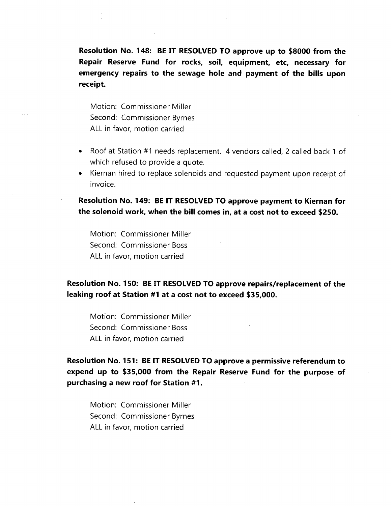**Resolution No. 148: BE IT RESOLVED TO approve up to \$8000 from the Repair Reserve Fund for rocks, soil, equipment, etc, necessary for emergency repairs to the sewage hole and payment of the bills upon receipt.**

Motion: Commissioner Miller Second: Commissioner Byrnes ALL in favor, motion carried

- Roof at Station #1 needs replacement. 4 vendors called, 2 called back <sup>1</sup> of which refused to provide <sup>a</sup> quote.
- Kiernan hired to replace solenoids and requested payment upon receipt of invoice.

**Resolution No. 149: BE IT RESOLVED TO approve payment to Kiernan for the solenoid work, when the bill comes in, at a cost not to exceed \$250.**

Motion: Commissioner Miller Second: Commissioner Boss ALL in favor, motion carried

### **Resolution No. 150: BE IT RESOLVED TO approve repairs/replacement of the leaking roof at Station #1 at a cost not to exceed \$35,000.**

Motion: Commissioner Miller Second: Commissioner Boss ALL in favor, motion carried

**Resolution No. 151: BE IT RESOLVED TO approve a permissive referendum to expend up to \$35,000 from the Repair Reserve Fund for the purpose of purchasing a new roof for Station #1.**

Motion: Commissioner Miller Second: Commissioner Byrnes ALL in favor, motion carried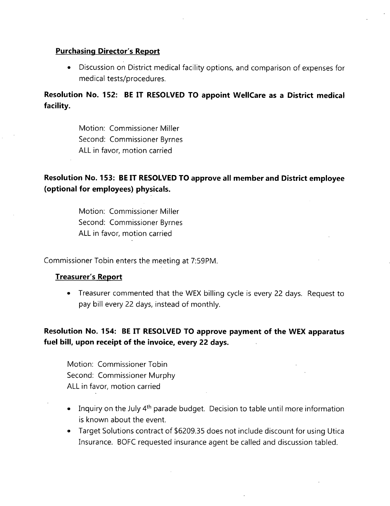### **Purchasing Director's Report**

• Discussion on District medical facility options, and comparison of expenses for medical tests/procedures.

**Resolution No. 152: BE IT RESOLVED TO appoint WellCare as a District medical facility.**

> Motion: Commissioner Miller Second: Commissioner Byrnes ALL in favor, motion carried

# **Resolution No. 153: BE IT RESOLVED TO approve all member and District employee (optional for employees) physicals.**

Motion: Commissioner Miller Second: Commissioner Byrnes ALL in favor, motion carried

Commissioner Tobin enters the meeting at 7:59PM.

### **Treasurer's Report**

• Treasurer commented that the WEX billing cycle is every 22 days. Request to pay bill every 22 days, instead of monthly.

### **Resolution No. 154: BE IT RESOLVED TO approve payment of the WEX apparatus fuel bill, upon receipt of the invoice, every 22 days.**

Motion: Commissioner Tobin Second: Commissioner Murphy ALL in favor, motion carried

- Inquiry on the July 4<sup>th</sup> parade budget. Decision to table until more information is known about the event.
- Target Solutions contract of \$6209.35 does not include discount for using Utica Insurance. BOFC requested insurance agent be called and discussion tabled.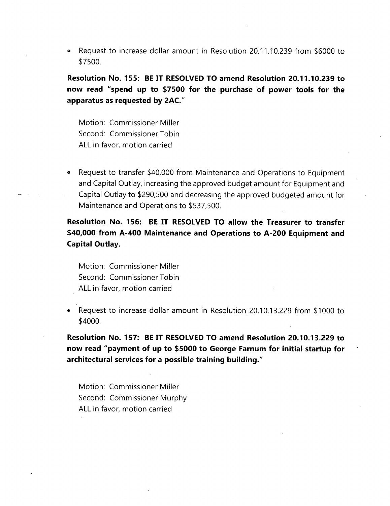® Request to increase dollar amount in Resolution 20.11.10.239 from \$6000 to \$7500.

**Resolution No. 155: BE IT RESOLVED TO amend Resolution 20.11.10.239 to now read "spend up to \$7500 for the purchase of power tools for the apparatus as requested by 2AC."**

Motion: Commissioner Miller Second: Commissioner Tobin ALL in favor, motion carried

• Request to transfer \$40,000 from Maintenance and Operations to Equipment and Capital Outlay, increasing the approved budget amount for Equipment and Capital Outlay to \$290,500 and decreasing the approved budgeted amount for Maintenance and Operations to \$537,500.

**Resolution No. 156: BE IT RESOLVED TO allow the Treasurer to transfer \$40,000 from A-400 Maintenance and Operations to A-200 Equipment and Capital Outlay.**

Motion: Commissioner Miller Second: Commissioner Tobin ALL in favor, motion carried

• Request to increase dollar amount in Resolution 20.10.13.229 from \$1000 to \$4000.

**Resolution No. 157: BE IT RESOLVED TO amend Resolution 20.10.13.229 to now read "payment of up to \$5000 to George Farnum for initial startup for architectural services for a possible training building."**

Motion: Commissioner Miller Second: Commissioner Murphy ALL in favor, motion carried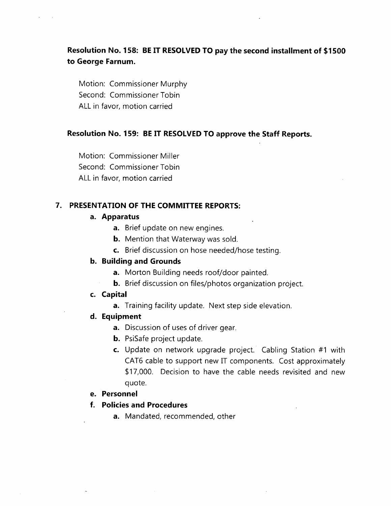# **Resolution No. 158: BE IT RESOLVED TO pay the second installment of \$1500 to George Farnum.**

Motion: Commissioner Murphy Second: Commissioner Tobin ALL in favor, motion carried

### **Resolution No. 159: BE IT RESOLVED TO approve the Staff Reports.**

Motion: Commissioner Miller Second: Commissioner Tobin ALL in favor, motion carried

### **7. PRESENTATION OF THE COMMITTEE REPORTS:**

### **a. Apparatus**

- **a.** Brief update on new engines.
- **b.** Mention that Waterway was sold.
- c. Brief discussion on hose needed/hose testing.

### **b. Building and Grounds**

- **a.** Morton Building needs roof/door painted.
- **b.** Brief discussion on files/photos organization project.
- **c. Capital**
	- **a.** Training facility update. Next step side elevation.

### **d. Equipment**

- **a.** Discussion of uses of driver gear.
- **b.** PsiSafe project update.
- c. Update on network upgrade project. Cabling Station #1 with CAT6 cable to support new IT components. Cost approximately \$17,000. Decision to have the cable needs revisited and new quote.

### **e. Personnel**

- **f. Policies and Procedures**
	- **a.** Mandated, recommended, other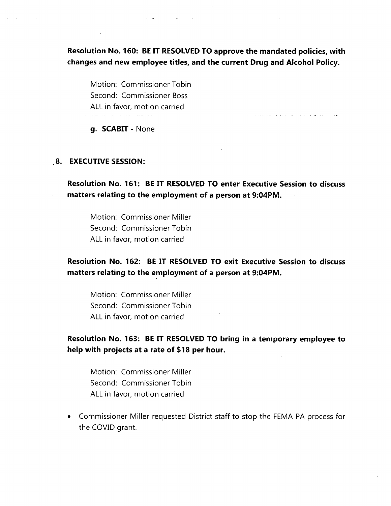**Resolution No. 160: BE IT RESOLVED TO approve the mandated policies, with changes and new employee titles, and the current Drug and Alcohol Policy.**

Motion: Commissioner Tobin Second: Commissioner Boss ALL in favor, motion carried المتواصل المتحدث والمنافي والمنافرة المستحدث

**g. SCABIT** - None

#### **8. EXECUTIVE SESSION:**

**Resolution No. 161: BE IT RESOLVED TO enter Executive Session to discuss matters relating to the employment of a person at 9:04PM.**

Motion: Commissioner Miller Second: Commissioner Tobin ALL in favor, motion carried

**Resolution No. 162: BE IT RESOLVED TO exit Executive Session to discuss matters relating to the employment of a person at 9:04PM.**

Motion: Commissioner Miller Second: Commissioner Tobin ALL in favor, motion carried

### **Resolution No. 163: BE IT RESOLVED TO bring in a temporary employee to help with projects at a rate of \$18 per hour.**

Motion: Commissioner Miller Second: Commissioner Tobin ALL in favor, motion carried

• Commissioner Miller requested District staff to stop the FEMA PA process for the COVID grant.